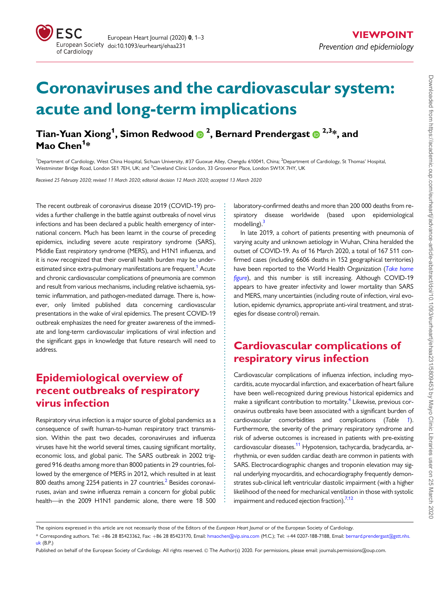<span id="page-0-0"></span>

# Coronaviruses and the cardiovascular system: acute and long-term implications

Tian-Yuan Xiong<sup>1</sup>, Simon Redwood  $\tiny\textcircled{\textbullet}^2$ , Bernard Prendergast  $\tiny\textcircled{\textbullet}^{2,3}$ \*, and Mao Chen<sup>1</sup>\*

<sup>1</sup>Department of Cardiology, West China Hospital, Sichuan University, #37 Guoxue Alley, Chengdu 610041, China; <sup>2</sup>Department of Cardiology, St Thomas' Hospital, Westminster Bridge Road, London SE1 7EH, UK; and <sup>3</sup>Cleveland Clinic London, 33 Grosvenor Place, London SW1X 7HY, UK

Received 25 February 2020; revised 11 March 2020; editorial decision 12 March 2020; accepted 13 March 2020

The recent outbreak of coronavirus disease 2019 (COVID-19) provides a further challenge in the battle against outbreaks of novel virus infections and has been declared a public health emergency of international concern. Much has been learnt in the course of preceding epidemics, including severe acute respiratory syndrome (SARS), Middle East respiratory syndrome (MERS), and H1N1 influenza, and it is now recognized that their overall health burden may be under-estimated since extra-pulmonary manifestations are frequent.<sup>[1](#page-2-0)</sup> Acute and chronic cardiovascular complications of pneumonia are common and result from various mechanisms, including relative ischaemia, systemic inflammation, and pathogen-mediated damage. There is, however, only limited published data concerning cardiovascular presentations in the wake of viral epidemics. The present COVID-19 outbreak emphasizes the need for greater awareness of the immediate and long-term cardiovascular implications of viral infection and the significant gaps in knowledge that future research will need to address.

# Epidemiological overview of recent outbreaks of respiratory virus infection

Respiratory virus infection is a major source of global pandemics as a consequence of swift human-to-human respiratory tract transmission. Within the past two decades, coronaviruses and influenza viruses have hit the world several times, causing significant mortality, economic loss, and global panic. The SARS outbreak in 2002 triggered 916 deaths among more than 8000 patients in 29 countries, followed by the emergence of MERS in 2012, which resulted in at least 800 deaths among 2254 patients in 27 countries.<sup>2</sup> Besides coronaviruses, avian and swine influenza remain a concern for global public health—in the 2009 H1N1 pandemic alone, there were 18 500 laboratory-confirmed deaths and more than 200 000 deaths from respiratory disease worldwide (based upon epidemiological modelling).<sup>3</sup>

In late 2019, a cohort of patients presenting with pneumonia of varying acuity and unknown aetiology in Wuhan, China heralded the outset of COVID-19. As of 16 March 2020, a total of 167 511 confirmed cases (including 6606 deaths in 152 geographical territories) have been reported to the World Health Organization ([Take home](#page-1-0) [figure](#page-1-0)), and this number is still increasing. Although COVID-19 appears to have greater infectivity and lower mortality than SARS and MERS, many uncertainties (including route of infection, viral evolution, epidemic dynamics, appropriate anti-viral treatment, and strategies for disease control) remain.

# Cardiovascular complications of respiratory virus infection

Cardiovascular complications of influenza infection, including myocarditis, acute myocardial infarction, and exacerbation of heart failure have been well-recognized during previous historical epidemics and make a significant contribution to mortality.<sup>4</sup> Likewise, previous coronavirus outbreaks have been associated with a significant burden of cardiovascular comorbidities and complications (Table [1](#page-1-0)). Furthermore, the severity of the primary respiratory syndrome and risk of adverse outcomes is increased in patients with pre-existing cardiovascular diseases.<sup>[11](#page-2-0)</sup> Hypotension, tachycardia, bradycardia, arrhythmia, or even sudden cardiac death are common in patients with SARS. Electrocardiographic changes and troponin elevation may signal underlying myocarditis, and echocardiography frequently demonstrates sub-clinical left ventricular diastolic impairment (with a higher likelihood of the need for mechanical ventilation in those with systolic impairment and reduced ejection fraction). $7,12$ 

. . . . . . . . . . . . . . . . . . . . . . . . . . . . . . . . . . . . . . . . . . . . . . . . . . . . . . . . . . . . . . . . . . . . . . . . . . . . . . . . . . . . . . . . . . . . . . . . . . . . . .

The opinions expressed in this article are not necessarily those of the Editors of the European Heart Journal or of the European Society of Cardiology.

<sup>\*</sup> Corresponding authors. Tel: +86 28 85423362, Fax: +86 28 85423170, Email: hmaochen@vip.sina.com (M.C.); Tel: +44 0207-188-7188, Email: bernard.prendergast@gstt.nhs. uk (B.P.)

Published on behalf of the European Society of Cardiology. All rights reserved. © The Author(s) 2020. For permissions, please email: journals.permissions@oup.com.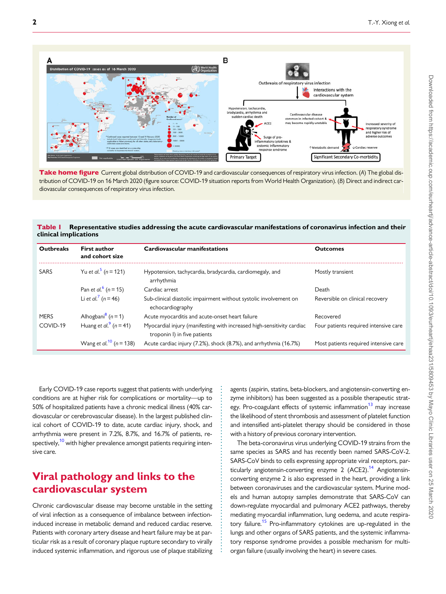<span id="page-1-0"></span>

Take home figure Current global distribution of COVID-19 and cardiovascular consequences of respiratory virus infection. (A) The global distribution of COVID-19 on 16 March 2020 (figure source: COVID-19 situation reports from World Health Organization). (B) Direct and indirect cardiovascular consequences of respiratory virus infection.

#### Table 1 Representative studies addressing the acute cardiovascular manifestations of coronavirus infection and their clinical implications

| <b>Outbreaks</b> | <b>First author</b><br>and cohort size  | Cardiovascular manifestations                                                                          | Outcomes                              |
|------------------|-----------------------------------------|--------------------------------------------------------------------------------------------------------|---------------------------------------|
| SARS             | Yu et al. <sup>5</sup> (n = 121)        | Hypotension, tachycardia, bradycardia, cardiomegaly, and<br>arrhythmia                                 | Mostly transient                      |
|                  | Pan et al. $(n = 15)$                   | Cardiac arrest                                                                                         | Death                                 |
|                  | Li et al. <sup>7</sup> ( $n = 46$ )     | Sub-clinical diastolic impairment without systolic involvement on<br>echocardiography                  | Reversible on clinical recovery       |
| <b>MERS</b>      | Alhogbani <sup>8</sup> ( $n = 1$ )      | Acute myocarditis and acute-onset heart failure                                                        | Recovered                             |
| COVID-19         | Huang et al. $(n=41)$                   | Myocardial injury (manifesting with increased high-sensitivity cardiac<br>troponin I) in five patients | Four patients required intensive care |
|                  | Wang et al. <sup>10</sup> ( $n = 138$ ) | Acute cardiac injury (7.2%), shock (8.7%), and arrhythmia (16.7%)                                      | Most patients required intensive care |

. . . . . . . . . . . . . . . . . . . . . . . . . . . . . . . . . . . . . . . . . . . . . . . . . . . . . . . .

. Early COVID-19 case reports suggest that patients with underlying conditions are at higher risk for complications or mortality—up to 50% of hospitalized patients have a chronic medical illness (40% cardiovascular or cerebrovascular disease). In the largest published clinical cohort of COVID-19 to date, acute cardiac injury, shock, and arrhythmia were present in 7.2%, 8.7%, and 16.7% of patients, respectively,<sup>10</sup> with higher prevalence amongst patients requiring intensive care.

### Viral pathology and links to the cardiovascular system

Chronic cardiovascular disease may become unstable in the setting of viral infection as a consequence of imbalance between infectioninduced increase in metabolic demand and reduced cardiac reserve. Patients with coronary artery disease and heart failure may be at particular risk as a result of coronary plaque rupture secondary to virally induced systemic inflammation, and rigorous use of plaque stabilizing

agents (aspirin, statins, beta-blockers, and angiotensin-converting enzyme inhibitors) has been suggested as a possible therapeutic strategy. Pro-coagulant effects of systemic inflammation<sup>13</sup> may increase the likelihood of stent thrombosis and assessment of platelet function and intensified anti-platelet therapy should be considered in those with a history of previous coronary intervention.

The beta-coronavirus virus underlying COVID-19 strains from the same species as SARS and has recently been named SARS-CoV-2. SARS-CoV binds to cells expressing appropriate viral receptors, particularly angiotensin-converting enzyme 2 (ACE2).<sup>14</sup> Angiotensinconverting enzyme 2 is also expressed in the heart, providing a link between coronaviruses and the cardiovascular system. Murine models and human autopsy samples demonstrate that SARS-CoV can down-regulate myocardial and pulmonary ACE2 pathways, thereby mediating myocardial inflammation, lung oedema, and acute respira-tory failure.<sup>[15](#page-2-0)</sup> Pro-inflammatory cytokines are up-regulated in the lungs and other organs of SARS patients, and the systemic inflammatory response syndrome provides a possible mechanism for multiorgan failure (usually involving the heart) in severe cases.